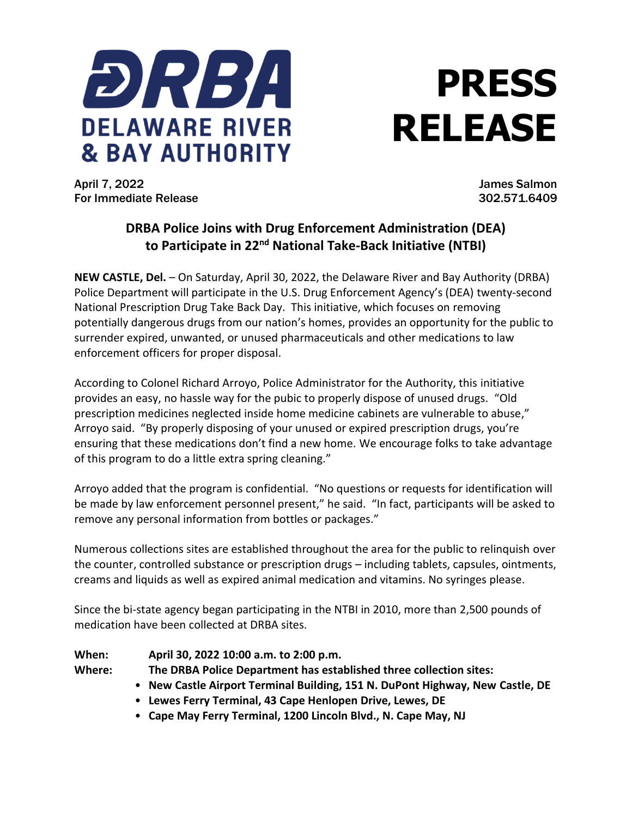

## **PRESS RELEASE**

April 7, 2022 James Salmon For Immediate Release 302.571.6409

## **DRBA Police Joins with Drug Enforcement Administration (DEA) to Participate in 22 nd National Take-Back Initiative (NTBI)**

**NEW CASTLE, Del.** – On Saturday, April 30, 2022, the Delaware River and Bay Authority (DRBA) Police Department will participate in the U.S. Drug Enforcement Agency's (DEA) twenty-second National Prescription Drug Take Back Day. This initiative, which focuses on removing potentially dangerous drugs from our nation's homes, provides an opportunity for the public to surrender expired, unwanted, or unused pharmaceuticals and other medications to law enforcement officers for proper disposal.

According to Colonel Richard Arroyo, Police Administrator for the Authority, this initiative provides an easy, no hassle way for the pubic to properly dispose of unused drugs. "Old prescription medicines neglected inside home medicine cabinets are vulnerable to abuse," Arroyo said. "By properly disposing of your unused or expired prescription drugs, you're ensuring that these medications don't find a new home. We encourage folks to take advantage of this program to do a little extra spring cleaning."

Arroyo added that the program is confidential. "No questions or requests for identification will be made by law enforcement personnel present," he said. "In fact, participants will be asked to remove any personal information from bottles or packages."

Numerous collections sites are established throughout the area for the public to relinquish over the counter, controlled substance or prescription drugs – including tablets, capsules, ointments, creams and liquids as well as expired animal medication and vitamins. No syringes please.

Since the bi-state agency began participating in the NTBI in 2010, more than 2,500 pounds of medication have been collected at DRBA sites.

| When:  | April 30, 2022 10:00 a.m. to 2:00 p.m.                                        |
|--------|-------------------------------------------------------------------------------|
| Where: | The DRBA Police Department has established three collection sites:            |
|        | • New Castle Airport Terminal Building, 151 N. DuPont Highway, New Castle, DE |
|        | • Lewes Ferry Terminal, 43 Cape Henlopen Drive, Lewes, DE                     |
|        | • Cape May Ferry Terminal, 1200 Lincoln Blvd., N. Cape May, NJ                |